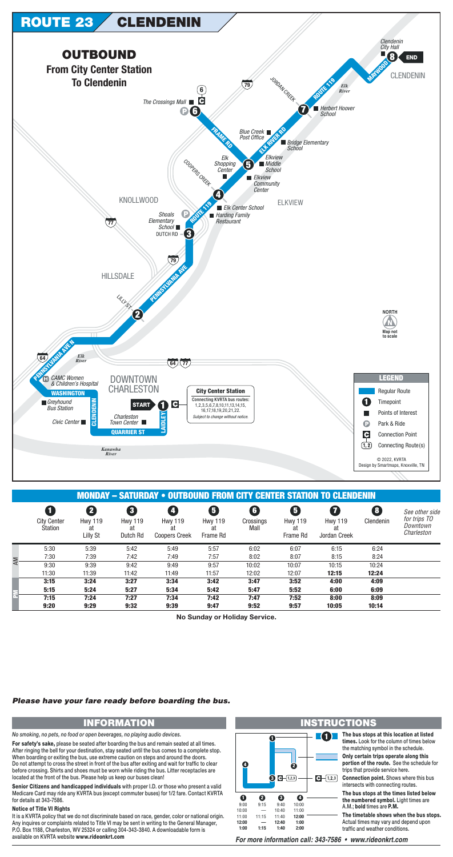

|    |                                           | шчигли                                | <u>T OUTDUUND FRUM UITT UENTER UTATIUN TU UEENDENIN</u> |                                              |                                                             |                                  |                                                             |                                                                 |                |                                                          |  |  |
|----|-------------------------------------------|---------------------------------------|---------------------------------------------------------|----------------------------------------------|-------------------------------------------------------------|----------------------------------|-------------------------------------------------------------|-----------------------------------------------------------------|----------------|----------------------------------------------------------|--|--|
|    | 1<br><b>City Center</b><br><b>Station</b> | 2<br><b>Hwy 119</b><br>at<br>Lilly St | 3<br><b>Hwy 119</b><br>at<br>Dutch Rd                   | <b>Hwy 119</b><br>at<br><b>Coopers Creek</b> | $\overline{\mathbf{5}}$<br><b>Hwy 119</b><br>at<br>Frame Rd | $\boxed{6}$<br>Crossings<br>Mall | $\overline{\mathbf{5}}$<br><b>Hwy 119</b><br>at<br>Frame Rd | $\overline{\mathbf{z}}$<br><b>Hwy 119</b><br>at<br>Jordan Creek | 8<br>Clendenin | See other side<br>for trips TO<br>Downtown<br>Charleston |  |  |
|    | 5:30                                      | 5:39                                  | 5:42                                                    | 5:49                                         | 5:57                                                        | 6:02                             | 6:07                                                        | 6:15                                                            | 6:24           |                                                          |  |  |
| AM | 7:30                                      | 7:39                                  | 7:42                                                    | 7:49                                         | 7:57                                                        | 8:02                             | 8:07                                                        | 8:15                                                            | 8:24           |                                                          |  |  |
|    | 9:30                                      | 9:39                                  | 9:42                                                    | 9:49                                         | 9:57                                                        | 10:02                            | 10:07                                                       | 10:15                                                           | 10:24          |                                                          |  |  |
|    | 11:30                                     | 11:39                                 | 11:42                                                   | 11:49                                        | 11:57                                                       | 12:02                            | 12:07                                                       | 12:15                                                           | 12:24          |                                                          |  |  |
|    | 3:15                                      | 3:24                                  | 3:27                                                    | 3:34                                         | 3:42                                                        | 3:47                             | 3:52                                                        | 4:00                                                            | 4:09           |                                                          |  |  |
|    | 5:15                                      | 5:24                                  | 5:27                                                    | 5:34                                         | 5:42                                                        | 5:47                             | 5:52                                                        | 6:00                                                            | 6:09           |                                                          |  |  |
|    | 7:15                                      | 7:24                                  | 7:27                                                    | 7:34                                         | 7:42                                                        | 7:47                             | 7:52                                                        | 8:00                                                            | 8:09           |                                                          |  |  |
|    | 9:20                                      | 9:29                                  | 9:32                                                    | 9:39                                         | 9:47                                                        | 9:52                             | 9:57                                                        | 10:05                                                           | 10:14          |                                                          |  |  |

No Sunday or Holiday Service.

### Please have your fare ready before boarding the bus.

# **INFORMATION**

No smoking, no pets, no food or open beverages, no playing audio devices.

For safety's sake, please be seated after boarding the bus and remain seated at all times. After ringing the bell for your destination, stay seated until the bus comes to a complete stop. When boarding or exiting the bus, use extreme caution on steps and around the doors. Do not attempt to cross the street in front of the bus after exiting and wait for traffic to clear before crossing. Shirts and shoes must be worn while riding the bus. Litter receptacles are located at the front of the bus. Please help us keep our buses clean!

Senior Citizens and handicapped individuals with proper I.D. or those who present a valid Medicare Card may ride any KVRTA bus (except commuter buses) for 1/2 fare. Contact KVRTA for details at 343-7586.

#### **Notice of Title VI Rights**

It is a KVRTA policy that we do not discriminate based on race, gender, color or national origin. Any inquires or complaints related to Title VI may be sent in writing to the General Manager, P.O. Box 1188, Charleston, WV 25324 or calling 304-343-3840. A downloadable form is available on KVRTA website www.rideonkrt.com

#### 6 D I Ø  $\odot$   $\Box$  (1,2,3)  $\bigodot - (1,2,3)$  $\mathbf 0$ ❷ ❸  $\bullet$  $9:15$ 10:00  $9:00$  $9:40$  $10:00$ 11:00 10:40  $11:15$ 11:00 11:40 12:00 12:00 12:40  $1:00$  $1:00$  $1:15$  $1:40$  $2:00$

## **INSTRUCTIONS**

The bus stops at this location at listed times. Look for the column of times below the matching symbol in the schedule.

Only certain trips operate along this portion of the route. See the schedule for trips that provide service here.

**Connection point.** Shows where this bus intersects with connecting routes.

The bus stops at the times listed below the numbered symbol. Light times are A.M.: bold times are P.M.

The timetable shows when the bus stops. Actual times may vary and depend upon traffic and weather conditions.

For more information call: 343-7586 • www.rideonkrt.com